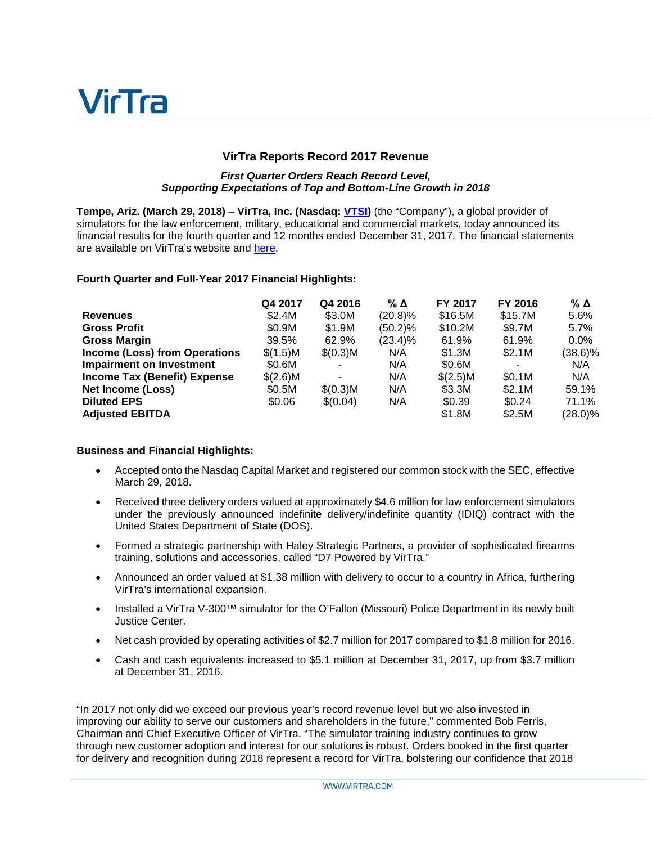

### **VirTra Reports Record 2017 Revenue**

### *First Quarter Orders Reach Record Level, Supporting Expectations of Top and Bottom-Line Growth in 2018*

**Tempe, Ariz. (March 29, 2018)** – **VirTra, Inc. (Nasdaq: [VTSI\)](https://www.nasdaq.com/symbol/vtsi/real-time)** (the "Company"), a global provider of simulators for the law enforcement, military, educational and commercial markets, today announced its financial results for the fourth quarter and 12 months ended December 31, 2017. The financial statements are available on VirTra's website and [here.](https://www.sec.gov/cgi-bin/browse-edgar?action=getcompany&CIK=0001085243&owner=exclude&count=40&hidefilings=0)

### **Fourth Quarter and Full-Year 2017 Financial Highlights:**

|                                      | Q4 2017  | Q4 2016                  | % Δ        | FY 2017  | FY 2016 | % Δ        |
|--------------------------------------|----------|--------------------------|------------|----------|---------|------------|
| <b>Revenues</b>                      | \$2.4M   | \$3.0M                   | $(20.8)\%$ | \$16.5M  | \$15.7M | 5.6%       |
| <b>Gross Profit</b>                  | \$0.9M   | \$1.9M                   | $(50.2)\%$ | \$10.2M  | \$9.7M  | 5.7%       |
| <b>Gross Margin</b>                  | 39.5%    | 62.9%                    | $(23.4)\%$ | 61.9%    | 61.9%   | $0.0\%$    |
| <b>Income (Loss) from Operations</b> | \$(1.5)M | \$(0.3)M                 | N/A        | \$1.3M   | \$2.1M  | $(38.6)\%$ |
| <b>Impairment on Investment</b>      | \$0.6M   |                          | N/A        | \$0.6M   |         | N/A        |
| <b>Income Tax (Benefit) Expense</b>  | \$(2.6)M | $\overline{\phantom{0}}$ | N/A        | \$(2.5)M | \$0.1M  | N/A        |
| <b>Net Income (Loss)</b>             | \$0.5M   | \$(0.3)M                 | N/A        | \$3.3M   | \$2.1M  | 59.1%      |
| <b>Diluted EPS</b>                   | \$0.06   | \$(0.04)                 | N/A        | \$0.39   | \$0.24  | 71.1%      |
| <b>Adjusted EBITDA</b>               |          |                          |            | \$1.8M   | \$2.5M  | $(28.0)\%$ |

### **Business and Financial Highlights:**

- Accepted onto the Nasdaq Capital Market and registered our common stock with the SEC, effective March 29, 2018.
- Received three delivery orders valued at approximately \$4.6 million for law enforcement simulators under the previously announced indefinite delivery/indefinite quantity (IDIQ) contract with the United States Department of State (DOS).
- Formed a strategic partnership with Haley Strategic Partners, a provider of sophisticated firearms training, solutions and accessories, called "D7 Powered by VirTra."
- Announced an order valued at \$1.38 million with delivery to occur to a country in Africa, furthering VirTra's international expansion.
- Installed a VirTra V-300™ simulator for the O'Fallon (Missouri) Police Department in its newly built Justice Center.
- Net cash provided by operating activities of \$2.7 million for 2017 compared to \$1.8 million for 2016.
- Cash and cash equivalents increased to \$5.1 million at December 31, 2017, up from \$3.7 million at December 31, 2016.

"In 2017 not only did we exceed our previous year's record revenue level but we also invested in improving our ability to serve our customers and shareholders in the future," commented Bob Ferris, Chairman and Chief Executive Officer of VirTra. "The simulator training industry continues to grow through new customer adoption and interest for our solutions is robust. Orders booked in the first quarter for delivery and recognition during 2018 represent a record for VirTra, bolstering our confidence that 2018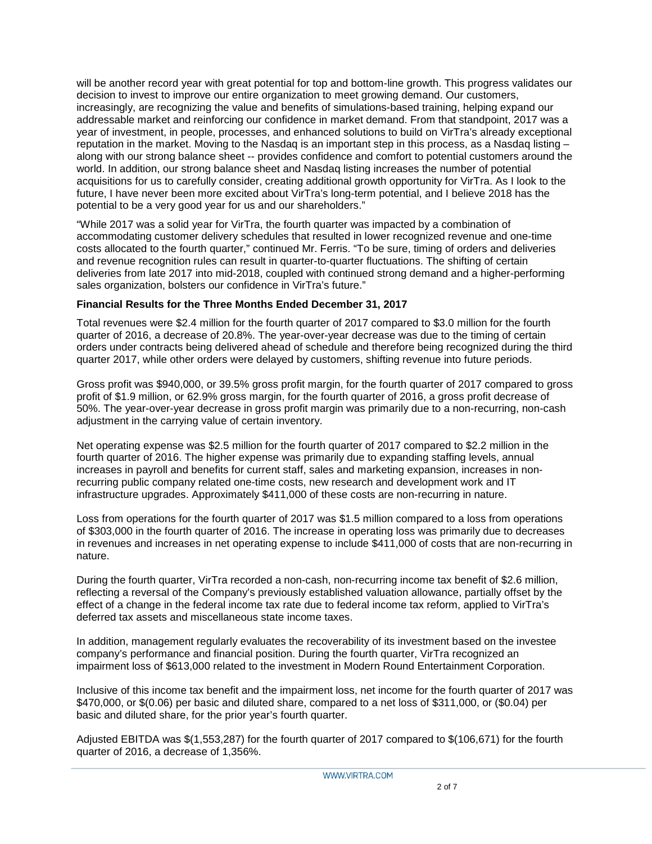will be another record year with great potential for top and bottom-line growth. This progress validates our decision to invest to improve our entire organization to meet growing demand. Our customers, increasingly, are recognizing the value and benefits of simulations-based training, helping expand our addressable market and reinforcing our confidence in market demand. From that standpoint, 2017 was a year of investment, in people, processes, and enhanced solutions to build on VirTra's already exceptional reputation in the market. Moving to the Nasdaq is an important step in this process, as a Nasdaq listing – along with our strong balance sheet -- provides confidence and comfort to potential customers around the world. In addition, our strong balance sheet and Nasdaq listing increases the number of potential acquisitions for us to carefully consider, creating additional growth opportunity for VirTra. As I look to the future, I have never been more excited about VirTra's long-term potential, and I believe 2018 has the potential to be a very good year for us and our shareholders."

"While 2017 was a solid year for VirTra, the fourth quarter was impacted by a combination of accommodating customer delivery schedules that resulted in lower recognized revenue and one-time costs allocated to the fourth quarter," continued Mr. Ferris. "To be sure, timing of orders and deliveries and revenue recognition rules can result in quarter-to-quarter fluctuations. The shifting of certain deliveries from late 2017 into mid-2018, coupled with continued strong demand and a higher-performing sales organization, bolsters our confidence in VirTra's future."

# **Financial Results for the Three Months Ended December 31, 2017**

Total revenues were \$2.4 million for the fourth quarter of 2017 compared to \$3.0 million for the fourth quarter of 2016, a decrease of 20.8%. The year-over-year decrease was due to the timing of certain orders under contracts being delivered ahead of schedule and therefore being recognized during the third quarter 2017, while other orders were delayed by customers, shifting revenue into future periods.

Gross profit was \$940,000, or 39.5% gross profit margin, for the fourth quarter of 2017 compared to gross profit of \$1.9 million, or 62.9% gross margin, for the fourth quarter of 2016, a gross profit decrease of 50%. The year-over-year decrease in gross profit margin was primarily due to a non-recurring, non-cash adjustment in the carrying value of certain inventory.

Net operating expense was \$2.5 million for the fourth quarter of 2017 compared to \$2.2 million in the fourth quarter of 2016. The higher expense was primarily due to expanding staffing levels, annual increases in payroll and benefits for current staff, sales and marketing expansion, increases in nonrecurring public company related one-time costs, new research and development work and IT infrastructure upgrades. Approximately \$411,000 of these costs are non-recurring in nature.

Loss from operations for the fourth quarter of 2017 was \$1.5 million compared to a loss from operations of \$303,000 in the fourth quarter of 2016. The increase in operating loss was primarily due to decreases in revenues and increases in net operating expense to include \$411,000 of costs that are non-recurring in nature.

During the fourth quarter, VirTra recorded a non-cash, non-recurring income tax benefit of \$2.6 million, reflecting a reversal of the Company's previously established valuation allowance, partially offset by the effect of a change in the federal income tax rate due to federal income tax reform, applied to VirTra's deferred tax assets and miscellaneous state income taxes.

In addition, management regularly evaluates the recoverability of its investment based on the investee company's performance and financial position. During the fourth quarter, VirTra recognized an impairment loss of \$613,000 related to the investment in Modern Round Entertainment Corporation.

Inclusive of this income tax benefit and the impairment loss, net income for the fourth quarter of 2017 was \$470,000, or \$(0.06) per basic and diluted share, compared to a net loss of \$311,000, or (\$0.04) per basic and diluted share, for the prior year's fourth quarter.

Adjusted EBITDA was \$(1,553,287) for the fourth quarter of 2017 compared to \$(106,671) for the fourth quarter of 2016, a decrease of 1,356%.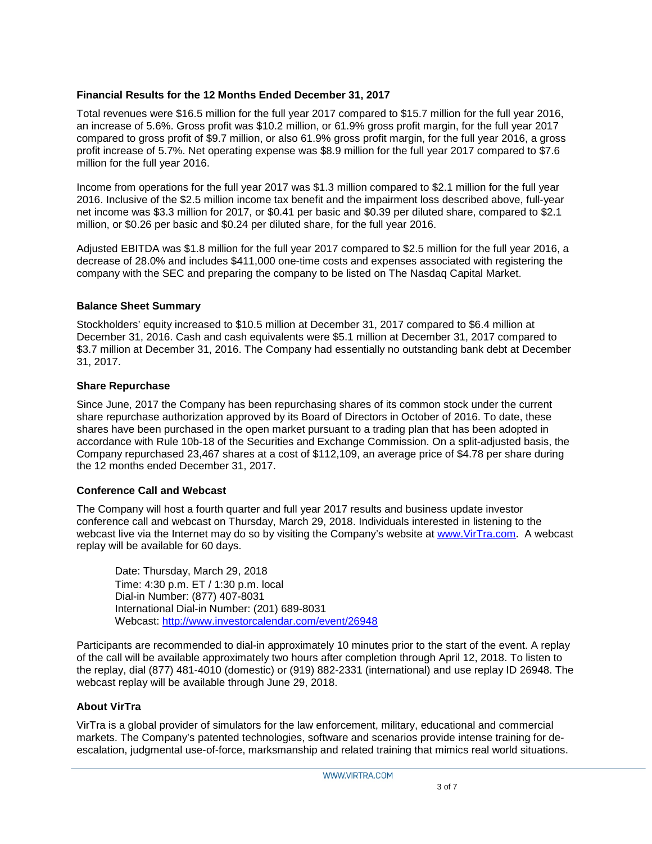## **Financial Results for the 12 Months Ended December 31, 2017**

Total revenues were \$16.5 million for the full year 2017 compared to \$15.7 million for the full year 2016, an increase of 5.6%. Gross profit was \$10.2 million, or 61.9% gross profit margin, for the full year 2017 compared to gross profit of \$9.7 million, or also 61.9% gross profit margin, for the full year 2016, a gross profit increase of 5.7%. Net operating expense was \$8.9 million for the full year 2017 compared to \$7.6 million for the full year 2016.

Income from operations for the full year 2017 was \$1.3 million compared to \$2.1 million for the full year 2016. Inclusive of the \$2.5 million income tax benefit and the impairment loss described above, full-year net income was \$3.3 million for 2017, or \$0.41 per basic and \$0.39 per diluted share, compared to \$2.1 million, or \$0.26 per basic and \$0.24 per diluted share, for the full year 2016.

Adjusted EBITDA was \$1.8 million for the full year 2017 compared to \$2.5 million for the full year 2016, a decrease of 28.0% and includes \$411,000 one-time costs and expenses associated with registering the company with the SEC and preparing the company to be listed on The Nasdaq Capital Market.

# **Balance Sheet Summary**

Stockholders' equity increased to \$10.5 million at December 31, 2017 compared to \$6.4 million at December 31, 2016. Cash and cash equivalents were \$5.1 million at December 31, 2017 compared to \$3.7 million at December 31, 2016. The Company had essentially no outstanding bank debt at December 31, 2017.

# **Share Repurchase**

Since June, 2017 the Company has been repurchasing shares of its common stock under the current share repurchase authorization approved by its Board of Directors in October of 2016. To date, these shares have been purchased in the open market pursuant to a trading plan that has been adopted in accordance with Rule 10b-18 of the Securities and Exchange Commission. On a split-adjusted basis, the Company repurchased 23,467 shares at a cost of \$112,109, an average price of \$4.78 per share during the 12 months ended December 31, 2017.

# **Conference Call and Webcast**

The Company will host a fourth quarter and full year 2017 results and business update investor conference call and webcast on Thursday, March 29, 2018. Individuals interested in listening to the webcast live via the Internet may do so by visiting the Company's website at [www.VirTra.com.](http://www.virtra.com/) A webcast replay will be available for 60 days.

Date: Thursday, March 29, 2018 Time: 4:30 p.m. ET / 1:30 p.m. local Dial-in Number: (877) 407-8031 International Dial-in Number: (201) 689-8031 Webcast:<http://www.investorcalendar.com/event/26948>

Participants are recommended to dial-in approximately 10 minutes prior to the start of the event. A replay of the call will be available approximately two hours after completion through April 12, 2018. To listen to the replay, dial (877) 481-4010 (domestic) or (919) 882-2331 (international) and use replay ID 26948. The webcast replay will be available through June 29, 2018.

# **About VirTra**

VirTra is a global provider of simulators for the law enforcement, military, educational and commercial markets. The Company's patented technologies, software and scenarios provide intense training for deescalation, judgmental use-of-force, marksmanship and related training that mimics real world situations.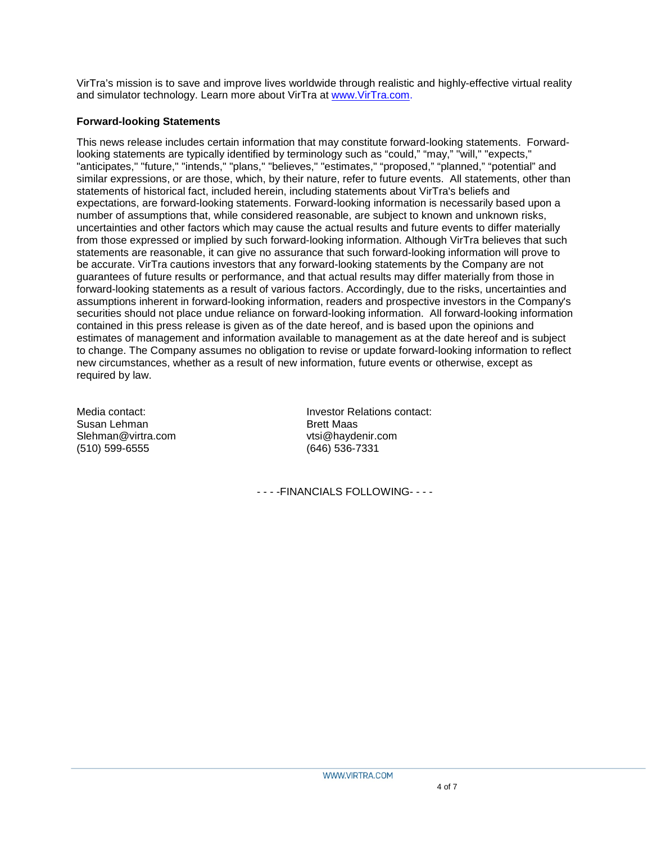VirTra's mission is to save and improve lives worldwide through realistic and highly-effective virtual reality and simulator technology. Learn more about VirTra at [www.VirTra.com.](http://www.virtra.com/)

# **Forward-looking Statements**

This news release includes certain information that may constitute forward-looking statements. Forwardlooking statements are typically identified by terminology such as "could," "may," "will," "expects," "anticipates," "future," "intends," "plans," "believes," "estimates," "proposed," "planned," "potential" and similar expressions, or are those, which, by their nature, refer to future events. All statements, other than statements of historical fact, included herein, including statements about VirTra's beliefs and expectations, are forward-looking statements. Forward-looking information is necessarily based upon a number of assumptions that, while considered reasonable, are subject to known and unknown risks, uncertainties and other factors which may cause the actual results and future events to differ materially from those expressed or implied by such forward-looking information. Although VirTra believes that such statements are reasonable, it can give no assurance that such forward-looking information will prove to be accurate. VirTra cautions investors that any forward-looking statements by the Company are not guarantees of future results or performance, and that actual results may differ materially from those in forward-looking statements as a result of various factors. Accordingly, due to the risks, uncertainties and assumptions inherent in forward-looking information, readers and prospective investors in the Company's securities should not place undue reliance on forward-looking information. All forward-looking information contained in this press release is given as of the date hereof, and is based upon the opinions and estimates of management and information available to management as at the date hereof and is subject to change. The Company assumes no obligation to revise or update forward-looking information to reflect new circumstances, whether as a result of new information, future events or otherwise, except as required by law.

Susan Lehman Brett Maas Slehman@virtra.com (510) 599-6555 (646) 536-7331

Media contact: Investor Relations contact:

- - - -FINANCIALS FOLLOWING- - - -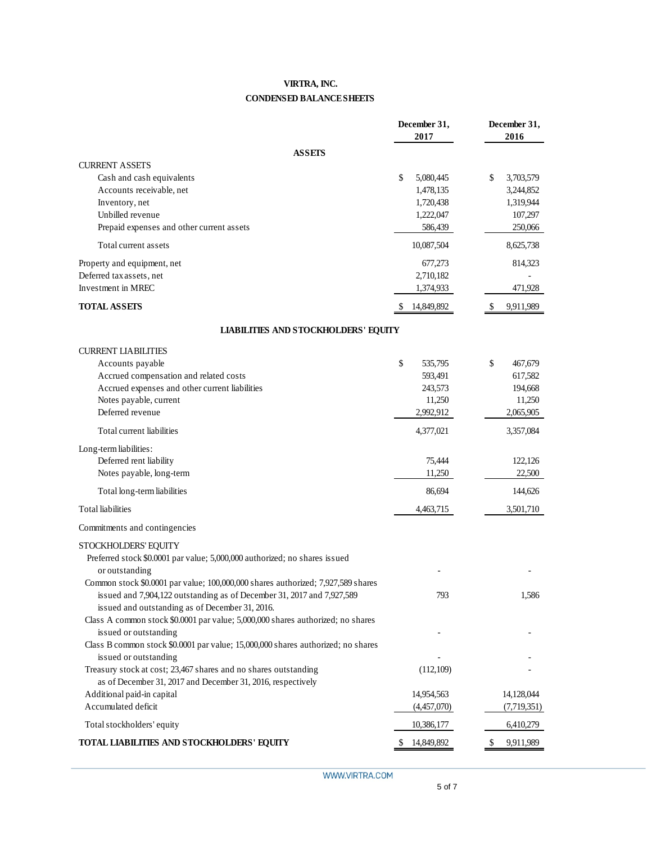# **VIRTRA, INC. CONDENSED BALANCE SHEETS**

|                                                                                                                                                                                                                                                                                                                                                                                                                                                                                                                                                                        | December 31,<br>2017                                              |                                                                 |  |  |
|------------------------------------------------------------------------------------------------------------------------------------------------------------------------------------------------------------------------------------------------------------------------------------------------------------------------------------------------------------------------------------------------------------------------------------------------------------------------------------------------------------------------------------------------------------------------|-------------------------------------------------------------------|-----------------------------------------------------------------|--|--|
| <b>ASSETS</b>                                                                                                                                                                                                                                                                                                                                                                                                                                                                                                                                                          |                                                                   |                                                                 |  |  |
| <b>CURRENT ASSETS</b><br>Cash and cash equivalents<br>Accounts receivable, net<br>Inventory, net<br>Unbilled revenue<br>Prepaid expenses and other current assets                                                                                                                                                                                                                                                                                                                                                                                                      | 5,080,445<br>\$<br>1,478,135<br>1,720,438<br>1,222,047<br>586,439 | \$<br>3,703,579<br>3,244,852<br>1,319,944<br>107,297<br>250,066 |  |  |
| Total current assets                                                                                                                                                                                                                                                                                                                                                                                                                                                                                                                                                   | 10,087,504                                                        | 8,625,738                                                       |  |  |
| Property and equipment, net<br>Deferred tax assets, net<br>Investment in MREC                                                                                                                                                                                                                                                                                                                                                                                                                                                                                          | 677,273<br>2,710,182<br>1,374,933                                 | 814,323<br>471,928                                              |  |  |
| <b>TOTAL ASSETS</b>                                                                                                                                                                                                                                                                                                                                                                                                                                                                                                                                                    | 14,849,892                                                        | 9,911,989<br>S                                                  |  |  |
| <b>LIABILITIES AND STOCKHOLDERS' EQUITY</b>                                                                                                                                                                                                                                                                                                                                                                                                                                                                                                                            |                                                                   |                                                                 |  |  |
| <b>CURRENT LIABILITIES</b><br>Accounts payable<br>Accrued compensation and related costs<br>Accrued expenses and other current liabilities<br>Notes payable, current<br>Deferred revenue                                                                                                                                                                                                                                                                                                                                                                               | \$<br>535,795<br>593,491<br>243,573<br>11,250<br>2,992,912        | \$<br>467,679<br>617,582<br>194,668<br>11,250<br>2,065,905      |  |  |
| Total current liabilities                                                                                                                                                                                                                                                                                                                                                                                                                                                                                                                                              | 4,377,021                                                         | 3,357,084                                                       |  |  |
| Long-term liabilities:<br>Deferred rent liability<br>Notes payable, long-term                                                                                                                                                                                                                                                                                                                                                                                                                                                                                          | 75,444<br>11,250                                                  | 122,126<br>22,500                                               |  |  |
| Total long-term liabilities                                                                                                                                                                                                                                                                                                                                                                                                                                                                                                                                            | 86,694                                                            | 144,626                                                         |  |  |
| <b>Total liabilities</b>                                                                                                                                                                                                                                                                                                                                                                                                                                                                                                                                               | 4,463,715                                                         | 3,501,710                                                       |  |  |
| Commitments and contingencies<br>STOCKHOLDERS' EQUITY<br>Preferred stock \$0.0001 par value; 5,000,000 authorized; no shares issued<br>or outstanding<br>Common stock \$0.0001 par value; 100,000,000 shares authorized; 7,927,589 shares<br>issued and 7,904,122 outstanding as of December 31, 2017 and 7,927,589<br>issued and outstanding as of December 31, 2016.<br>Class A common stock \$0.0001 par value; 5,000,000 shares authorized; no shares<br>issued or outstanding<br>Class B common stock \$0.0001 par value; 15,000,000 shares authorized; no shares | 793                                                               | 1,586                                                           |  |  |
| issued or outstanding<br>Treasury stock at cost; 23,467 shares and no shares outstanding<br>as of December 31, 2017 and December 31, 2016, respectively<br>Additional paid-in capital                                                                                                                                                                                                                                                                                                                                                                                  | (112, 109)<br>14,954,563                                          | 14,128,044                                                      |  |  |
| Accumulated deficit                                                                                                                                                                                                                                                                                                                                                                                                                                                                                                                                                    | (4,457,070)                                                       | (7,719,351)                                                     |  |  |
| Total stockholders' equity                                                                                                                                                                                                                                                                                                                                                                                                                                                                                                                                             | 10,386,177                                                        | 6,410,279                                                       |  |  |
| TOTAL LIABILITIES AND STOCKHOLDERS' EQUITY                                                                                                                                                                                                                                                                                                                                                                                                                                                                                                                             | 14,849,892<br>\$                                                  | \$<br>9,911,989                                                 |  |  |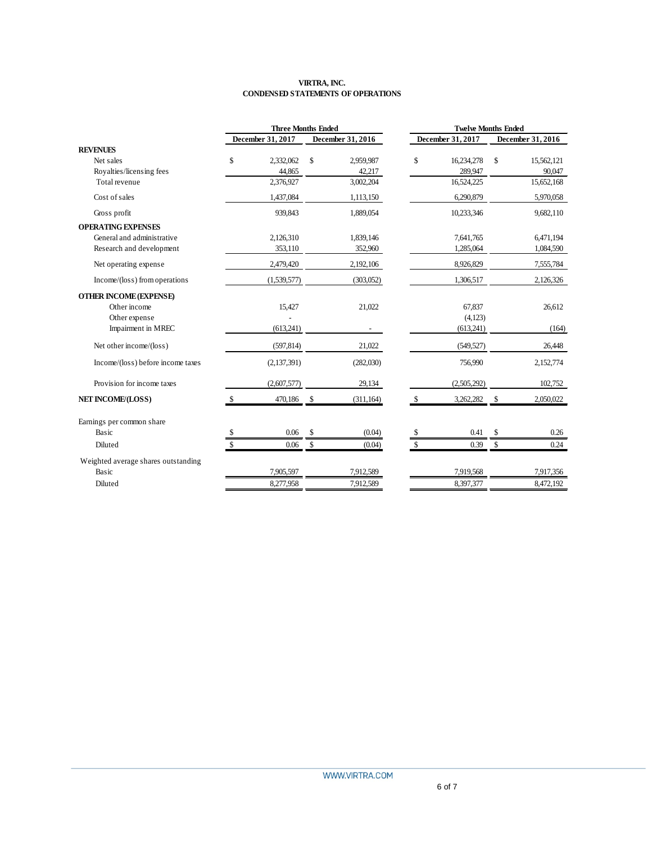#### **VIRTRA, INC. CONDENSED STATEMENTS OF OPERATIONS**

|                                     |              | <b>Three Months Ended</b> |              |                   | <b>Twelve Months Ended</b>      |                   |                   |            |  |  |
|-------------------------------------|--------------|---------------------------|--------------|-------------------|---------------------------------|-------------------|-------------------|------------|--|--|
|                                     |              | December 31, 2017         |              | December 31, 2016 |                                 | December 31, 2017 | December 31, 2016 |            |  |  |
| <b>REVENUES</b>                     |              |                           |              |                   |                                 |                   |                   |            |  |  |
| Net sales                           | \$           | 2,332,062                 | \$           | 2,959,987         | \$                              | 16,234,278        | \$                | 15,562,121 |  |  |
| Royalties/licensing fees            |              | 44,865                    |              | 42.217            |                                 | 289,947           |                   | 90,047     |  |  |
| Total revenue                       |              | 2,376,927                 |              | 3,002,204         |                                 | 16,524,225        |                   | 15,652,168 |  |  |
| Cost of sales                       |              | 1,437,084                 |              | 1,113,150         |                                 | 6,290,879         |                   | 5,970,058  |  |  |
| Gross profit                        |              | 939,843                   |              | 1,889,054         |                                 | 10,233,346        |                   | 9,682,110  |  |  |
| <b>OPERATING EXPENSES</b>           |              |                           |              |                   |                                 |                   |                   |            |  |  |
| General and administrative          |              | 2,126,310                 |              | 1,839,146         |                                 | 7,641,765         |                   | 6,471,194  |  |  |
| Research and development            |              | 353,110                   |              | 352,960           |                                 | 1,285,064         |                   | 1,084,590  |  |  |
| Net operating expense               |              | 2,479,420                 |              | 2,192,106         |                                 | 8,926,829         |                   | 7,555,784  |  |  |
| Income/(loss) from operations       |              | (1,539,577)               |              | (303, 052)        |                                 | 1,306,517         |                   | 2,126,326  |  |  |
| <b>OTHER INCOME (EXPENSE)</b>       |              |                           |              |                   |                                 |                   |                   |            |  |  |
| Other income                        |              | 15,427                    |              | 21,022            |                                 | 67,837            |                   | 26,612     |  |  |
| Other expense                       |              |                           |              |                   |                                 | (4,123)           |                   |            |  |  |
| Impairment in MREC                  |              | (613,241)                 |              |                   |                                 | (613,241)         |                   | (164)      |  |  |
| Net other income/(loss)             |              | (597, 814)                |              | 21,022            |                                 | (549, 527)        |                   | 26,448     |  |  |
| Income/(loss) before income taxes   |              | (2,137,391)               |              | (282,030)         |                                 | 756,990           |                   | 2,152,774  |  |  |
| Provision for income taxes          |              | (2,607,577)               |              | 29,134            |                                 | (2,505,292)       |                   | 102,752    |  |  |
| <b>NET INCOME/(LOSS)</b>            | $\mathbb{S}$ | 470,186                   | $\mathbb{S}$ | (311, 164)        | S.                              | 3,262,282         | -S                | 2,050,022  |  |  |
| Earnings per common share           |              |                           |              |                   |                                 |                   |                   |            |  |  |
| Basic                               | \$           | 0.06                      | \$           | (0.04)            | $\frac{\mathsf{s}}{\mathsf{s}}$ | 0.41              | \$                | 0.26       |  |  |
| Diluted                             | $\mathbf S$  | 0.06                      | \$           | (0.04)            | $\mathbb S$                     | 0.39              | \$                | 0.24       |  |  |
| Weighted average shares outstanding |              |                           |              |                   |                                 |                   |                   |            |  |  |
| Basic                               |              | 7,905,597                 |              | 7,912,589         |                                 | 7,919,568         |                   | 7,917,356  |  |  |
| Diluted                             |              | 8,277,958                 |              | 7,912,589         |                                 | 8,397,377         |                   | 8,472,192  |  |  |